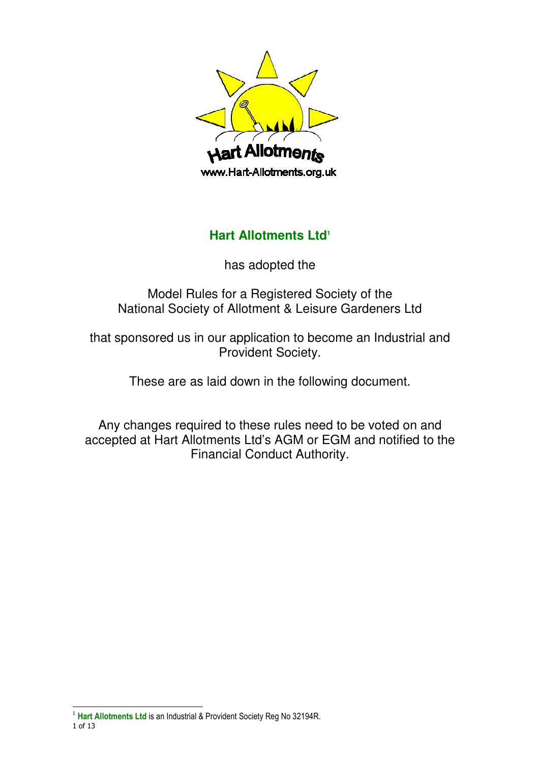

# **Hart Allotments Ltd<sup>1</sup>**

has adopted the

Model Rules for a Registered Society of the National Society of Allotment & Leisure Gardeners Ltd

that sponsored us in our application to become an Industrial and Provident Society.

These are as laid down in the following document.

Any changes required to these rules need to be voted on and accepted at Hart Allotments Ltd's AGM or EGM and notified to the Financial Conduct Authority.

 $\overline{a}$ 

<sup>1</sup> of 13 <sup>1</sup> Hart Allotments Ltd is an Industrial & Provident Society Reg No 32194R.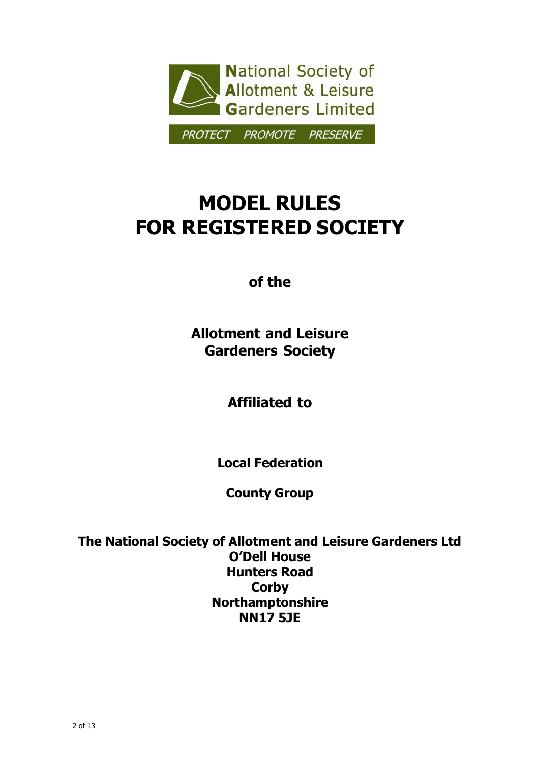

# MODEL RULES FOR REGISTERED SOCIETY

of the

Allotment and Leisure Gardeners Society

Affiliated to

Local Federation

County Group

The National Society of Allotment and Leisure Gardeners Ltd O'Dell House Hunters Road **Corby** Northamptonshire NN17 5JE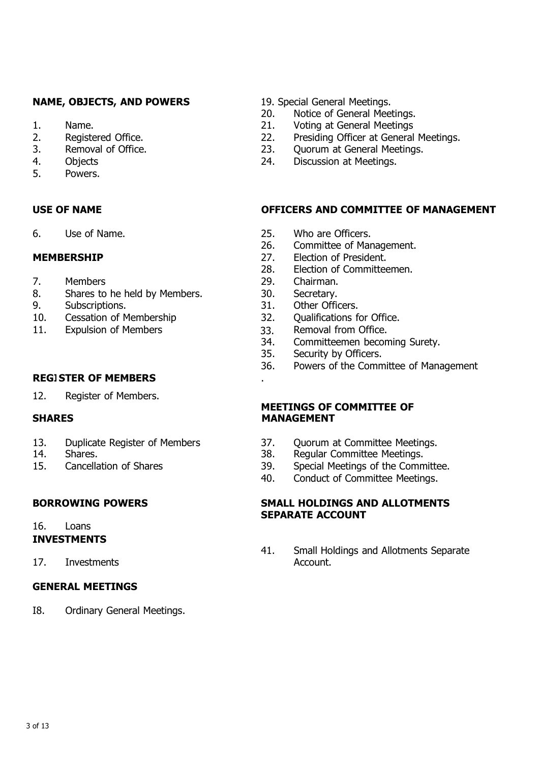### NAME, OBJECTS, AND POWERS 19. Special General Meetings.

- 
- 
- 
- 
- 5. Powers.

- 
- 8. Shares to he held by Members. 30. Secretary.
- 
- 
- 11. Expulsion of Members 33. Removal from Office.<br>34. Committeemen becon

#### **REGISTER OF MEMBERS**

12. Register of Members.

- 13. Duplicate Register of Members 37. Quorum at Committee Meetings.<br>14. Shares. 14. Shares.
- 
- 

## 16. Loans

### INVESTMENTS

17. Investments **Account.** 

#### GENERAL MEETINGS

I8. Ordinary General Meetings.

- 20. Notice of General Meetings.
- 1. Name. 21. Voting at General Meetings
- 2. Registered Office. 22. Presiding Officer at General Meetings.
- 3. Removal of Office. 23. Quorum at General Meetings.
- 4. Objects 24. Discussion at Meetings.

#### USE OF NAME OFFICERS AND COMMITTEE OF MANAGEMENT

- 6. Use of Name.<br>
25. Who are Officers.<br>
26. Committee of Mar
	- Committee of Management.
- MEMBERSHIP 27. Election of President.
	- 28. Election of Committeemen.
- 7. Members 29. Chairman.
	-
- 9. Subscriptions. 31. Other Officers.
- 10. Cessation of Membership 32. Qualifications for Office.
	-
	- Committeemen becoming Surety.
	- 35. Security by Officers.
	- 36. Powers of the Committee of Management

#### MEETINGS OF COMMITTEE OF SHARES MANAGEMENT

- 
- 14. Shares. 38. Regular Committee Meetings.
- 15. Cancellation of Shares 39. Special Meetings of the Committee.
	- 40. Conduct of Committee Meetings.

#### BORROWING POWERS SMALL HOLDINGS AND ALLOTMENTS SEPARATE ACCOUNT

41. Small Holdings and Allotments Separate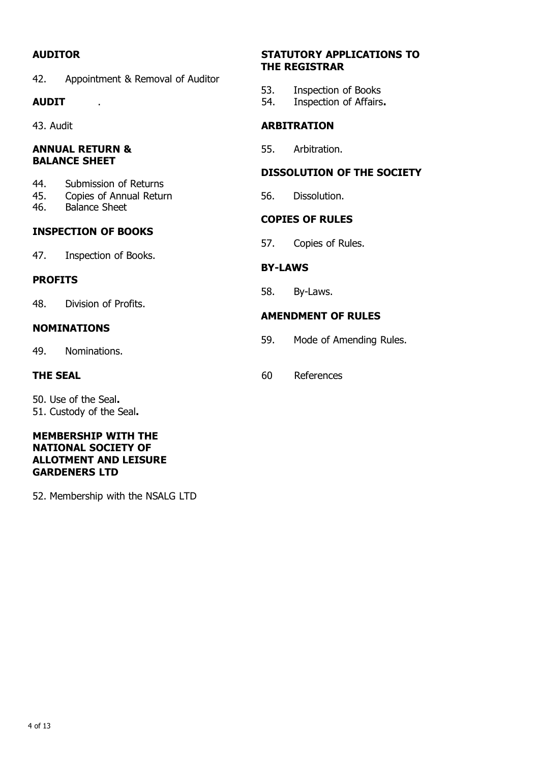42. Appointment & Removal of Auditor

#### ANNUAL RETURN & 55. Arbitration. BALANCE SHEET

- 44. Submission of Returns
- 45. Copies of Annual Return 56. Dissolution.<br>46. Balance Sheet
- Balance Sheet

### INSPECTION OF BOOKS

47. Inspection of Books.

#### PROFITS

48. Division of Profits.

#### NOMINATIONS

49. Nominations.

50. Use of the Seal. 51. Custody of the Seal.

#### MEMBERSHIP WITH THE NATIONAL SOCIETY OF ALLOTMENT AND LEISURE GARDENERS LTD

52. Membership with the NSALG LTD

#### AUDITOR STATUTORY APPLICATIONS TO THE REGISTRAR

- 53. Inspection of Books
- AUDIT . The contract of Affairs.

### 43. Audit **ARBITRATION**

#### DISSOLUTION OF THE SOCIETY

#### COPIES OF RULES

57. Copies of Rules.

### BY-LAWS

58. By-Laws.

#### AMENDMENT OF RULES

- 59. Mode of Amending Rules.
- THE SEAL 60 References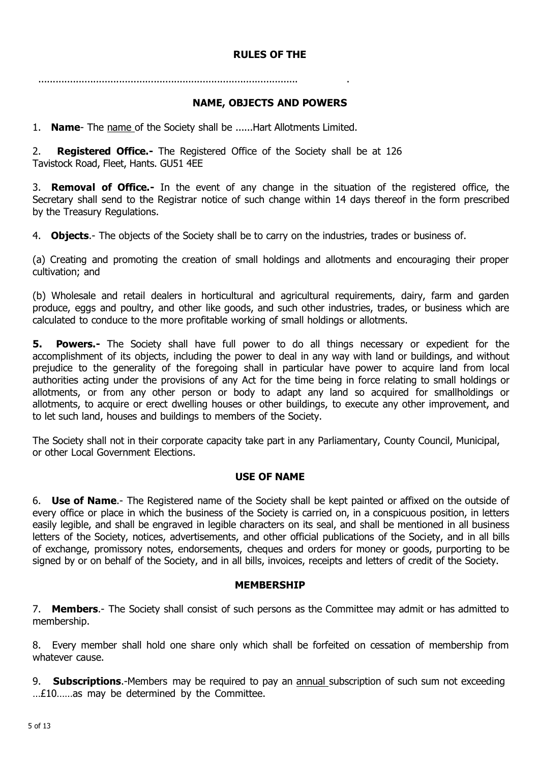### RULES OF THE

#### .......................................................................................... .

#### NAME, OBJECTS AND POWERS

1. Name- The name of the Society shall be ...... Hart Allotments Limited.

2. **Registered Office.-** The Registered Office of the Society shall be at 126 Tavistock Road, Fleet, Hants. GU51 4EE

3. Removal of Office.- In the event of any change in the situation of the registered office, the Secretary shall send to the Registrar notice of such change within 14 days thereof in the form prescribed by the Treasury Regulations.

4. **Objects.**- The objects of the Society shall be to carry on the industries, trades or business of.

(a) Creating and promoting the creation of small holdings and allotments and encouraging their proper cultivation; and

(b) Wholesale and retail dealers in horticultural and agricultural requirements, dairy, farm and garden produce, eggs and poultry, and other like goods, and such other industries, trades, or business which are calculated to conduce to the more profitable working of small holdings or allotments.

**5. Powers.-** The Society shall have full power to do all things necessary or expedient for the accomplishment of its objects, including the power to deal in any way with land or buildings, and without prejudice to the generality of the foregoing shall in particular have power to acquire land from local authorities acting under the provisions of any Act for the time being in force relating to small holdings or allotments, or from any other person or body to adapt any land so acquired for smallholdings or allotments, to acquire or erect dwelling houses or other buildings, to execute any other improvement, and to let such land, houses and buildings to members of the Society.

The Society shall not in their corporate capacity take part in any Parliamentary, County Council, Municipal, or other Local Government Elections.

#### USE OF NAME

6. Use of Name.- The Registered name of the Society shall be kept painted or affixed on the outside of every office or place in which the business of the Society is carried on, in a conspicuous position, in letters easily legible, and shall be engraved in legible characters on its seal, and shall be mentioned in all business letters of the Society, notices, advertisements, and other official publications of the Society, and in all bills of exchange, promissory notes, endorsements, cheques and orders for money or goods, purporting to be signed by or on behalf of the Society, and in all bills, invoices, receipts and letters of credit of the Society.

#### MEMBERSHIP

7. Members.- The Society shall consist of such persons as the Committee may admit or has admitted to membership.

8. Every member shall hold one share only which shall be forfeited on cessation of membership from whatever cause.

9. **Subscriptions.**-Members may be required to pay an annual subscription of such sum not exceeding …£10……as may be determined by the Committee.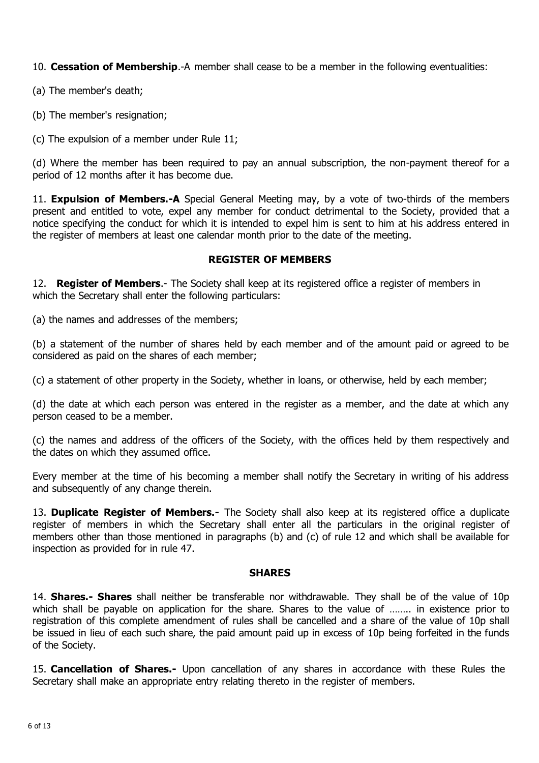10. Cessation of Membership.-A member shall cease to be a member in the following eventualities:

(a) The member's death;

(b) The member's resignation;

(c) The expulsion of a member under Rule 11;

(d) Where the member has been required to pay an annual subscription, the non-payment thereof for a period of 12 months after it has become due.

11. **Expulsion of Members.-A** Special General Meeting may, by a vote of two-thirds of the members present and entitled to vote, expel any member for conduct detrimental to the Society, provided that a notice specifying the conduct for which it is intended to expel him is sent to him at his address entered in the register of members at least one calendar month prior to the date of the meeting.

### REGISTER OF MEMBERS

12. **Register of Members.**- The Society shall keep at its registered office a register of members in which the Secretary shall enter the following particulars:

(a) the names and addresses of the members;

(b) a statement of the number of shares held by each member and of the amount paid or agreed to be considered as paid on the shares of each member;

(c) a statement of other property in the Society, whether in loans, or otherwise, held by each member;

(d) the date at which each person was entered in the register as a member, and the date at which any person ceased to be a member.

(c) the names and address of the officers of the Society, with the offices held by them respectively and the dates on which they assumed office.

Every member at the time of his becoming a member shall notify the Secretary in writing of his address and subsequently of any change therein.

13. **Duplicate Register of Members.**- The Society shall also keep at its registered office a duplicate register of members in which the Secretary shall enter all the particulars in the original register of members other than those mentioned in paragraphs (b) and (c) of rule 12 and which shall be available for inspection as provided for in rule 47.

### SHARES

14. **Shares.- Shares** shall neither be transferable nor withdrawable. They shall be of the value of 10p which shall be payable on application for the share. Shares to the value of …….. in existence prior to registration of this complete amendment of rules shall be cancelled and a share of the value of 10p shall be issued in lieu of each such share, the paid amount paid up in excess of 10p being forfeited in the funds of the Society.

15. Cancellation of Shares.- Upon cancellation of any shares in accordance with these Rules the Secretary shall make an appropriate entry relating thereto in the register of members.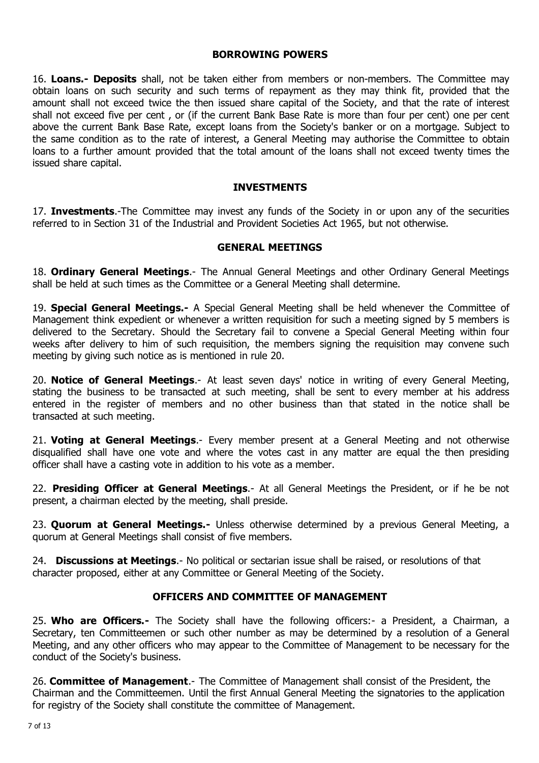#### BORROWING POWERS

16. Loans.- Deposits shall, not be taken either from members or non-members. The Committee may obtain loans on such security and such terms of repayment as they may think fit, provided that the amount shall not exceed twice the then issued share capital of the Society, and that the rate of interest shall not exceed five per cent , or (if the current Bank Base Rate is more than four per cent) one per cent above the current Bank Base Rate, except loans from the Society's banker or on a mortgage. Subject to the same condition as to the rate of interest, a General Meeting may authorise the Committee to obtain loans to a further amount provided that the total amount of the loans shall not exceed twenty times the issued share capital.

#### INVESTMENTS

17. **Investments.**-The Committee may invest any funds of the Society in or upon any of the securities referred to in Section 31 of the Industrial and Provident Societies Act 1965, but not otherwise.

#### GENERAL MEETINGS

18. **Ordinary General Meetings.**- The Annual General Meetings and other Ordinary General Meetings shall be held at such times as the Committee or a General Meeting shall determine.

19. **Special General Meetings.**- A Special General Meeting shall be held whenever the Committee of Management think expedient or whenever a written requisition for such a meeting signed by 5 members is delivered to the Secretary. Should the Secretary fail to convene a Special General Meeting within four weeks after delivery to him of such requisition, the members signing the requisition may convene such meeting by giving such notice as is mentioned in rule 20.

20. Notice of General Meetings.- At least seven days' notice in writing of every General Meeting, stating the business to be transacted at such meeting, shall be sent to every member at his address entered in the register of members and no other business than that stated in the notice shall be transacted at such meeting.

21. Voting at General Meetings.- Every member present at a General Meeting and not otherwise disqualified shall have one vote and where the votes cast in any matter are equal the then presiding officer shall have a casting vote in addition to his vote as a member.

22. Presiding Officer at General Meetings.- At all General Meetings the President, or if he be not present, a chairman elected by the meeting, shall preside.

23. Quorum at General Meetings.- Unless otherwise determined by a previous General Meeting, a quorum at General Meetings shall consist of five members.

24. **Discussions at Meetings.**- No political or sectarian issue shall be raised, or resolutions of that character proposed, either at any Committee or General Meeting of the Society.

#### OFFICERS AND COMMITTEE OF MANAGEMENT

25. Who are Officers.- The Society shall have the following officers:- a President, a Chairman, a Secretary, ten Committeemen or such other number as may be determined by a resolution of a General Meeting, and any other officers who may appear to the Committee of Management to be necessary for the conduct of the Society's business.

26. **Committee of Management**.- The Committee of Management shall consist of the President, the Chairman and the Committeemen. Until the first Annual General Meeting the signatories to the application for registry of the Society shall constitute the committee of Management.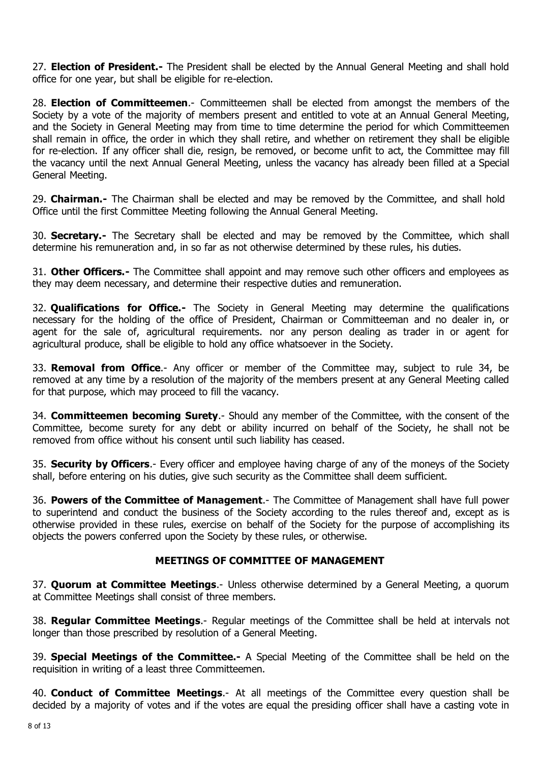27. **Election of President.**- The President shall be elected by the Annual General Meeting and shall hold office for one year, but shall be eligible for re-election.

28. **Election of Committeemen.**- Committeemen shall be elected from amongst the members of the Society by a vote of the majority of members present and entitled to vote at an Annual General Meeting, and the Society in General Meeting may from time to time determine the period for which Committeemen shall remain in office, the order in which they shall retire, and whether on retirement they shall be eligible for re-election. If any officer shall die, resign, be removed, or become unfit to act, the Committee may fill the vacancy until the next Annual General Meeting, unless the vacancy has already been filled at a Special General Meeting.

29. **Chairman.**- The Chairman shall be elected and may be removed by the Committee, and shall hold Office until the first Committee Meeting following the Annual General Meeting.

30. **Secretary.-** The Secretary shall be elected and may be removed by the Committee, which shall determine his remuneration and, in so far as not otherwise determined by these rules, his duties.

31. **Other Officers.**- The Committee shall appoint and may remove such other officers and employees as they may deem necessary, and determine their respective duties and remuneration.

32. **Qualifications for Office.-** The Society in General Meeting may determine the qualifications necessary for the holding of the office of President, Chairman or Committeeman and no dealer in, or agent for the sale of, agricultural requirements. nor any person dealing as trader in or agent for agricultural produce, shall be eligible to hold any office whatsoever in the Society.

33. **Removal from Office**.- Any officer or member of the Committee may, subject to rule 34, be removed at any time by a resolution of the majority of the members present at any General Meeting called for that purpose, which may proceed to fill the vacancy.

34. Committeemen becoming Surety.- Should any member of the Committee, with the consent of the Committee, become surety for any debt or ability incurred on behalf of the Society, he shall not be removed from office without his consent until such liability has ceased.

35. Security by Officers.- Every officer and employee having charge of any of the moneys of the Society shall, before entering on his duties, give such security as the Committee shall deem sufficient.

36. Powers of the Committee of Management.- The Committee of Management shall have full power to superintend and conduct the business of the Society according to the rules thereof and, except as is otherwise provided in these rules, exercise on behalf of the Society for the purpose of accomplishing its objects the powers conferred upon the Society by these rules, or otherwise.

### MEETINGS OF COMMITTEE OF MANAGEMENT

37. **Quorum at Committee Meetings.**- Unless otherwise determined by a General Meeting, a quorum at Committee Meetings shall consist of three members.

38. Regular Committee Meetings.- Regular meetings of the Committee shall be held at intervals not longer than those prescribed by resolution of a General Meeting.

39. Special Meetings of the Committee.- A Special Meeting of the Committee shall be held on the requisition in writing of a least three Committeemen.

40. Conduct of Committee Meetings.- At all meetings of the Committee every question shall be decided by a majority of votes and if the votes are equal the presiding officer shall have a casting vote in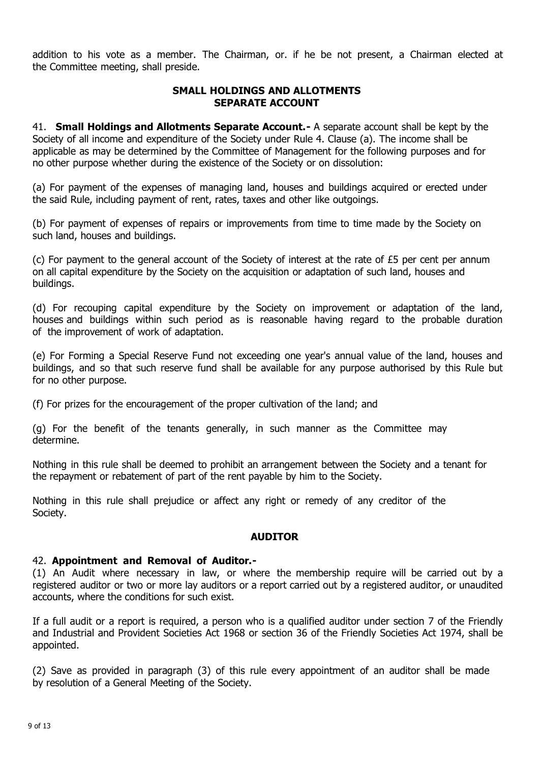addition to his vote as a member. The Chairman, or. if he be not present, a Chairman elected at the Committee meeting, shall preside.

#### SMALL HOLDINGS AND ALLOTMENTS SEPARATE ACCOUNT

41. **Small Holdings and Allotments Separate Account.** - A separate account shall be kept by the Society of all income and expenditure of the Society under Rule 4. Clause (a). The income shall be applicable as may be determined by the Committee of Management for the following purposes and for no other purpose whether during the existence of the Society or on dissolution:

(a) For payment of the expenses of managing land, houses and buildings acquired or erected under the said Rule, including payment of rent, rates, taxes and other like outgoings.

(b) For payment of expenses of repairs or improvements from time to time made by the Society on such land, houses and buildings.

(c) For payment to the general account of the Society of interest at the rate of £5 per cent per annum on all capital expenditure by the Society on the acquisition or adaptation of such land, houses and buildings.

(d) For recouping capital expenditure by the Society on improvement or adaptation of the land, houses and buildings within such period as is reasonable having regard to the probable duration of the improvement of work of adaptation.

(e) For Forming a Special Reserve Fund not exceeding one year's annual value of the land, houses and buildings, and so that such reserve fund shall be available for any purpose authorised by this Rule but for no other purpose.

(f) For prizes for the encouragement of the proper cultivation of the land; and

(g) For the benefit of the tenants generally, in such manner as the Committee may determine.

Nothing in this rule shall be deemed to prohibit an arrangement between the Society and a tenant for the repayment or rebatement of part of the rent payable by him to the Society.

Nothing in this rule shall prejudice or affect any right or remedy of any creditor of the Society.

#### AUDITOR

#### 42. Appointment and Removal of Auditor.-

(1) An Audit where necessary in law, or where the membership require will be carried out by a registered auditor or two or more lay auditors or a report carried out by a registered auditor, or unaudited accounts, where the conditions for such exist.

If a full audit or a report is required, a person who is a qualified auditor under section 7 of the Friendly and Industrial and Provident Societies Act 1968 or section 36 of the Friendly Societies Act 1974, shall be appointed.

(2) Save as provided in paragraph (3) of this rule every appointment of an auditor shall be made by resolution of a General Meeting of the Society.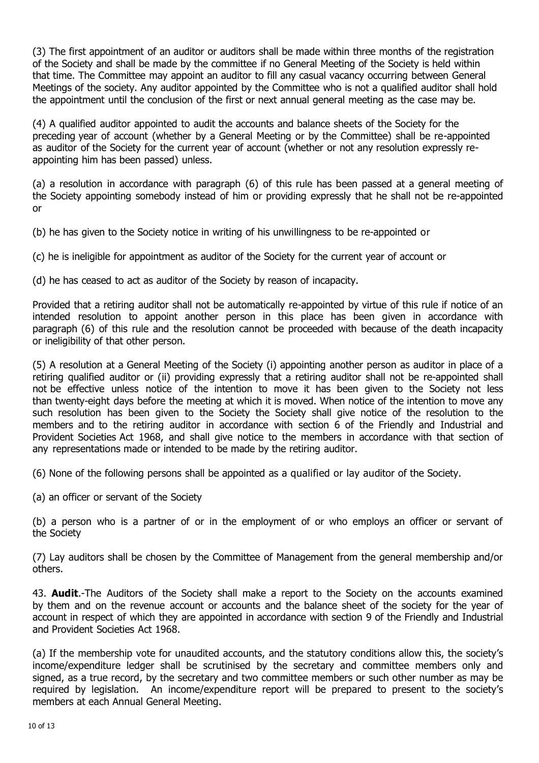(3) The first appointment of an auditor or auditors shall be made within three months of the registration of the Society and shall be made by the committee if no General Meeting of the Society is held within that time. The Committee may appoint an auditor to fill any casual vacancy occurring between General Meetings of the society. Any auditor appointed by the Committee who is not a qualified auditor shall hold the appointment until the conclusion of the first or next annual general meeting as the case may be.

(4) A qualified auditor appointed to audit the accounts and balance sheets of the Society for the preceding year of account (whether by a General Meeting or by the Committee) shall be re-appointed as auditor of the Society for the current year of account (whether or not any resolution expressly reappointing him has been passed) unless.

(a) a resolution in accordance with paragraph (6) of this rule has been passed at a general meeting of the Society appointing somebody instead of him or providing expressly that he shall not be re-appointed or

(b) he has given to the Society notice in writing of his unwillingness to be re-appointed or

(c) he is ineligible for appointment as auditor of the Society for the current year of account or

(d) he has ceased to act as auditor of the Society by reason of incapacity.

Provided that a retiring auditor shall not be automatically re-appointed by virtue of this rule if notice of an intended resolution to appoint another person in this place has been given in accordance with paragraph (6) of this rule and the resolution cannot be proceeded with because of the death incapacity or ineligibility of that other person.

(5) A resolution at a General Meeting of the Society (i) appointing another person as auditor in place of a retiring qualified auditor or (ii) providing expressly that a retiring auditor shall not be re-appointed shall not be effective unless notice of the intention to move it has been given to the Society not less than twenty-eight days before the meeting at which it is moved. When notice of the intention to move any such resolution has been given to the Society the Society shall give notice of the resolution to the members and to the retiring auditor in accordance with section 6 of the Friendly and Industrial and Provident Societies Act 1968, and shall give notice to the members in accordance with that section of any representations made or intended to be made by the retiring auditor.

(6) None of the following persons shall be appointed as a qualified or lay auditor of the Society.

(a) an officer or servant of the Society

(b) a person who is a partner of or in the employment of or who employs an officer or servant of the Society

(7) Lay auditors shall be chosen by the Committee of Management from the general membership and/or others.

43. **Audit.**-The Auditors of the Society shall make a report to the Society on the accounts examined by them and on the revenue account or accounts and the balance sheet of the society for the year of account in respect of which they are appointed in accordance with section 9 of the Friendly and Industrial and Provident Societies Act 1968.

(a) If the membership vote for unaudited accounts, and the statutory conditions allow this, the society's income/expenditure ledger shall be scrutinised by the secretary and committee members only and signed, as a true record, by the secretary and two committee members or such other number as may be required by legislation. An income/expenditure report will be prepared to present to the society's members at each Annual General Meeting.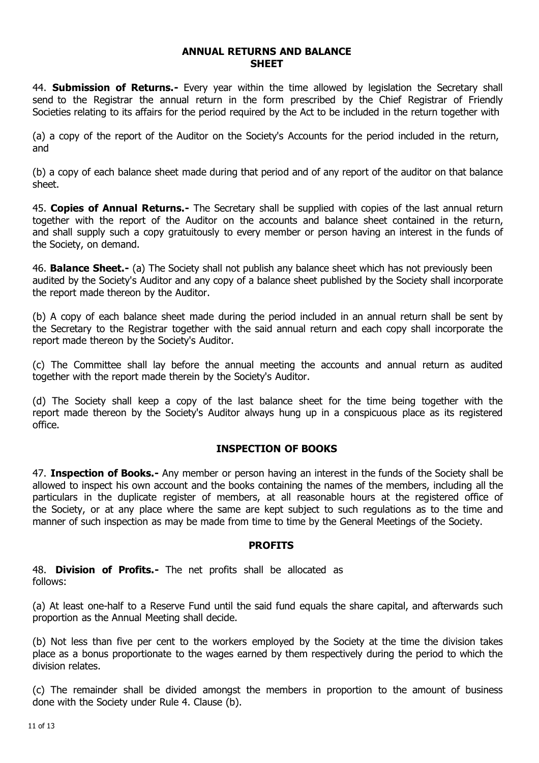#### ANNUAL RETURNS AND BALANCE **SHEET**

44. **Submission of Returns.**- Every year within the time allowed by legislation the Secretary shall send to the Registrar the annual return in the form prescribed by the Chief Registrar of Friendly Societies relating to its affairs for the period required by the Act to be included in the return together with

(a) a copy of the report of the Auditor on the Society's Accounts for the period included in the return, and

(b) a copy of each balance sheet made during that period and of any report of the auditor on that balance sheet.

45. Copies of Annual Returns.- The Secretary shall be supplied with copies of the last annual return together with the report of the Auditor on the accounts and balance sheet contained in the return, and shall supply such a copy gratuitously to every member or person having an interest in the funds of the Society, on demand.

46. **Balance Sheet.-** (a) The Society shall not publish any balance sheet which has not previously been audited by the Society's Auditor and any copy of a balance sheet published by the Society shall incorporate the report made thereon by the Auditor.

(b) A copy of each balance sheet made during the period included in an annual return shall be sent by the Secretary to the Registrar together with the said annual return and each copy shall incorporate the report made thereon by the Society's Auditor.

(c) The Committee shall lay before the annual meeting the accounts and annual return as audited together with the report made therein by the Society's Auditor.

(d) The Society shall keep a copy of the last balance sheet for the time being together with the report made thereon by the Society's Auditor always hung up in a conspicuous place as its registered office.

#### INSPECTION OF BOOKS

47. Inspection of Books.- Any member or person having an interest in the funds of the Society shall be allowed to inspect his own account and the books containing the names of the members, including all the particulars in the duplicate register of members, at all reasonable hours at the registered office of the Society, or at any place where the same are kept subject to such regulations as to the time and manner of such inspection as may be made from time to time by the General Meetings of the Society.

#### PROFITS

48. Division of Profits.- The net profits shall be allocated as follows:

(a) At least one-half to a Reserve Fund until the said fund equals the share capital, and afterwards such proportion as the Annual Meeting shall decide.

(b) Not less than five per cent to the workers employed by the Society at the time the division takes place as a bonus proportionate to the wages earned by them respectively during the period to which the division relates.

(c) The remainder shall be divided amongst the members in proportion to the amount of business done with the Society under Rule 4. Clause (b).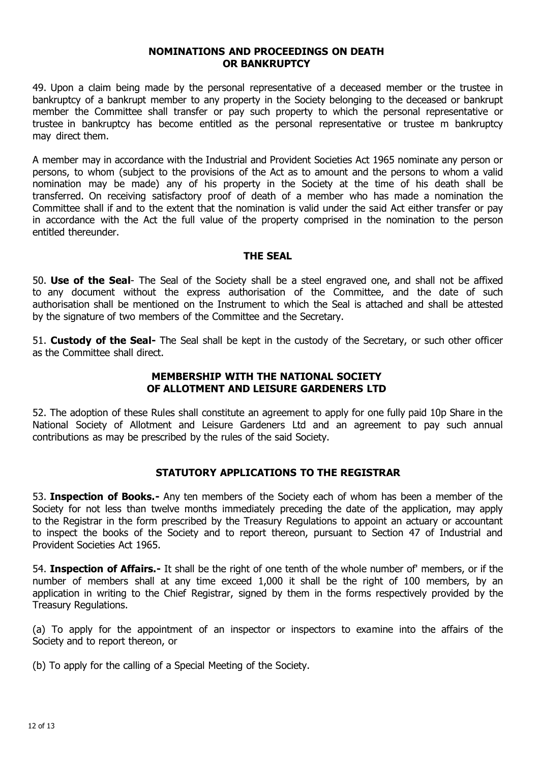#### NOMINATIONS AND PROCEEDINGS ON DEATH OR BANKRUPTCY

49. Upon a claim being made by the personal representative of a deceased member or the trustee in bankruptcy of a bankrupt member to any property in the Society belonging to the deceased or bankrupt member the Committee shall transfer or pay such property to which the personal representative or trustee in bankruptcy has become entitled as the personal representative or trustee m bankruptcy may direct them.

A member may in accordance with the Industrial and Provident Societies Act 1965 nominate any person or persons, to whom (subject to the provisions of the Act as to amount and the persons to whom a valid nomination may be made) any of his property in the Society at the time of his death shall be transferred. On receiving satisfactory proof of death of a member who has made a nomination the Committee shall if and to the extent that the nomination is valid under the said Act either transfer or pay in accordance with the Act the full value of the property comprised in the nomination to the person entitled thereunder.

#### THE SEAL

50. Use of the Seal- The Seal of the Society shall be a steel engraved one, and shall not be affixed to any document without the express authorisation of the Committee, and the date of such authorisation shall be mentioned on the Instrument to which the Seal is attached and shall be attested by the signature of two members of the Committee and the Secretary.

51. Custody of the Seal- The Seal shall be kept in the custody of the Secretary, or such other officer as the Committee shall direct.

#### MEMBERSHIP WITH THE NATIONAL SOCIETY OF ALLOTMENT AND LEISURE GARDENERS LTD

52. The adoption of these Rules shall constitute an agreement to apply for one fully paid 10p Share in the National Society of Allotment and Leisure Gardeners Ltd and an agreement to pay such annual contributions as may be prescribed by the rules of the said Society.

#### STATUTORY APPLICATIONS TO THE REGISTRAR

53. Inspection of Books.- Any ten members of the Society each of whom has been a member of the Society for not less than twelve months immediately preceding the date of the application, may apply to the Registrar in the form prescribed by the Treasury Regulations to appoint an actuary or accountant to inspect the books of the Society and to report thereon, pursuant to Section 47 of Industrial and Provident Societies Act 1965.

54. Inspection of Affairs.- It shall be the right of one tenth of the whole number of members, or if the number of members shall at any time exceed 1,000 it shall be the right of 100 members, by an application in writing to the Chief Registrar, signed by them in the forms respectively provided by the Treasury Regulations.

(a) To apply for the appointment of an inspector or inspectors to examine into the affairs of the Society and to report thereon, or

(b) To apply for the calling of a Special Meeting of the Society.